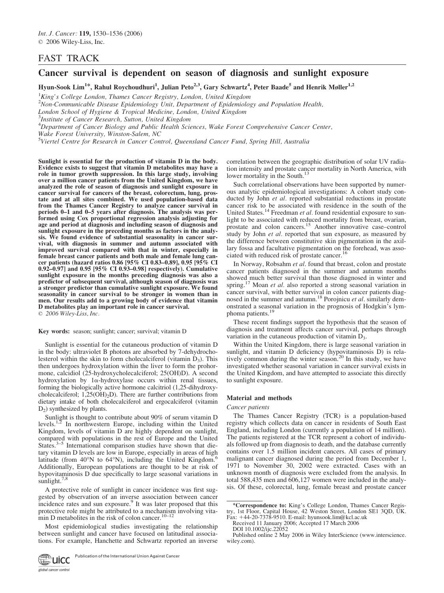# FAST TRACK

# Cancer survival is dependent on season of diagnosis and sunlight exposure

Hyun-Sook Lim<sup>1\*</sup>, Rahul Roychoudhuri<sup>1</sup>, Julian Peto<sup>2,3</sup>, Gary Schwartz<sup>4</sup>, Peter Baade<sup>5</sup> and Henrik Møller<sup>1,2</sup>

 ${}^{1}$ King's College London, Thames Cancer Registry, London, United Kingdom

<sup>2</sup>Non-Communicable Disease Epidemiology Unit, Department of Epidemiology and Population Health,

London School of Hygiene & Tropical Medicine, London, United Kingdom

<sup>3</sup>Institute of Cancer Research, Sutton, United Kingdom

<sup>4</sup>Department of Cancer Biology and Public Health Sciences, Wake Forest Comprehensive Cancer Center,

Wake Forest University, Winston-Salem, NC

<sup>5</sup>Viertel Centre for Research in Cancer Control, Queensland Cancer Fund, Spring Hill, Australia

Sunlight is essential for the production of vitamin D in the body. Evidence exists to suggest that vitamin D metabolites may have a role in tumor growth suppression. In this large study, involving over a million cancer patients from the United Kingdom, we have analyzed the role of season of diagnosis and sunlight exposure in cancer survival for cancers of the breast, colorectum, lung, prostate and at all sites combined. We used population-based data from the Thames Cancer Registry to analyze cancer survival in periods 0–1 and 0–5 years after diagnosis. The analysis was performed using Cox proportional regression analysis adjusting for age and period at diagnosis and including season of diagnosis and sunlight exposure in the preceding months as factors in the analysis. We found evidence of substantial seasonality in cancer survival, with diagnosis in summer and autumn associated with improved survival compared with that in winter, especially in female breast cancer patients and both male and female lung cancer patients (hazard ratios 0.86 [95% CI 0.83–0.89], 0.95 [95% CI 0.92–0.97] and 0.95 [95% CI 0.93–0.98] respectively). Cumulative sunlight exposure in the months preceding diagnosis was also a predictor of subsequent survival, although season of diagnosis was a stronger predictor than cumulative sunlight exposure. We found seasonality in cancer survival to be stronger in women than in men. Our results add to a growing body of evidence that vitamin D metabolites play an important role in cancer survival.  $\odot$  2006 Wiley-Liss, Inc.

Key words: season; sunlight; cancer; survival; vitamin D

Sunlight is essential for the cutaneous production of vitamin D in the body: ultraviolet B photons are absorbed by 7-dehydrocholesterol within the skin to form cholecalciferol (vitamin  $D_3$ ). This then undergoes hydroxylation within the liver to form the prohormone, calcidiol (25-hydroxycholecalciferol; 25(OH)D). A second hydroxylation by 1 $\alpha$ -hydroxylase occurs within renal tissues, forming the biologically active hormone calcitriol (1,25-dihydroxycholecalciferol;  $1,25(OH)<sub>2</sub>D$ ). There are further contributions from dietary intake of both cholecalciferol and ergocalciferol (vitamin  $D_2$ ) synthesized by plants.

Sunlight is thought to contribute about 90% of serum vitamin D levels.<sup>1,2</sup> In northwestern Europe, including within the United Kingdom, levels of vitamin D are highly dependent on sunlight, compared with populations in the rest of Europe and the United States.<sup>3–5</sup> International comparison studies have shown that dietary vitamin D levels are low in Europe, especially in areas of high latitude (from  $40^{\circ}$ N to  $64^{\circ}$ N), including the United Kingdom.<sup>6</sup> Additionally, European populations are thought to be at risk of hypovitaminosis D due specifically to large seasonal variations in sunlight.<sup>7,8</sup>

A protective role of sunlight in cancer incidence was first suggested by observation of an inverse association between cancer incidence rates and sun exposure.<sup>9</sup> It was later proposed that this protective role might be attributed to a mechanism involving vita-<br>min D metabolites in the risk of colon cancer.<sup>10–12</sup>

Most epidemiological studies investigating the relationship between sunlight and cancer have focused on latitudinal associations. For example, Hanchette and Schwartz reported an inverse

∰uicc Publication of the International Union Against Cancer

global cancer control

correlation between the geographic distribution of solar UV radiation intensity and prostate cancer mortality in North America, with lower mortality in the South.<sup>13</sup>

Such correlational observations have been supported by numerous analytic epidemiological investigations: A cohort study conducted by John et al. reported substantial reductions in prostate cancer risk to be associated with residence in the south of the United States.<sup>14</sup> Freedman et al. found residential exposure to sunlight to be associated with reduced mortality from breast, ovarian, prostate and colon cancers.<sup>15</sup> Another innovative case–control study by John et al. reported that sun exposure, as measured by the difference between constitutive skin pigmentation in the axillary fossa and facultative pigmentation on the forehead, was associated with reduced risk of prostate cancer.<sup>16</sup>

In Norway, Robsahm et al. found that breast, colon and prostate cancer patients diagnosed in the summer and autumn months showed much better survival than those diagnosed in winter and spring.<sup>17</sup> Moan *et al.* also reported a strong seasonal variation in cancer survival, with better survival in colon cancer patients diagnosed in the summer and autumn.<sup>18</sup> Porojnicu et al. similarly demonstrated a seasonal variation in the prognosis of Hodgkin's lymphoma patients.<sup>1</sup>

These recent findings support the hypothesis that the season of diagnosis and treatment affects cancer survival, perhaps through variation in the cutaneous production of vitamin  $D_3$ .

Within the United Kingdom, there is large seasonal variation in sunlight, and vitamin D deficiency (hypovitaminosis D) is rela-<br>tively common during the winter season.<sup>20</sup> In this study, we have investigated whether seasonal variation in cancer survival exists in the United Kingdom, and have attempted to associate this directly to sunlight exposure.

# Material and methods

# Cancer patients

The Thames Cancer Registry (TCR) is a population-based registry which collects data on cancer in residents of South East England, including London (currently a population of 14 million). The patients registered at the TCR represent a cohort of individuals followed up from diagnosis to death, and the database currently contains over 1.5 million incident cancers. All cases of primary malignant cancer diagnosed during the period from December 1, 1971 to November 30, 2002 were extracted. Cases with an unknown month of diagnosis were excluded from the analysis. In total 588,435 men and 606,127 women were included in the analysis. Of these, colorectal, lung, female breast and prostate cancer

DOI 10.1002/ijc.22052

<sup>\*</sup>Correspondence to: King's College London, Thames Cancer Registry, 1st Floor, Capital House, 42 Weston Street, London SE1 3QD, UK. Fax: +44-20-7378-9510. E-mail: hyunsook.lim@kcl.ac.uk

Received 11 January 2006; Accepted 17 March 2006

Published online 2 May 2006 in Wiley InterScience (www.interscience. wiley.com).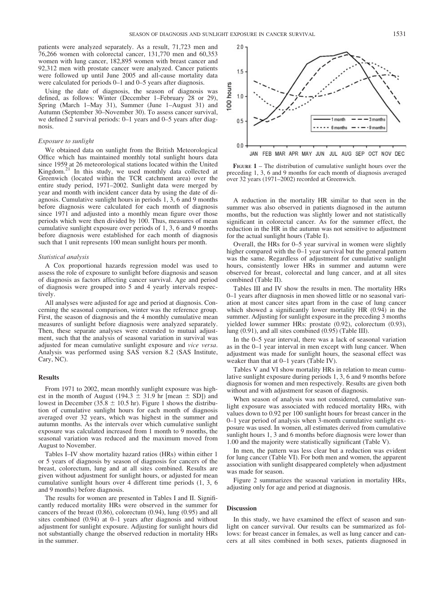patients were analyzed separately. As a result, 71,723 men and 76,266 women with colorectal cancer, 131,770 men and 60,353 women with lung cancer, 182,895 women with breast cancer and 92,312 men with prostate cancer were analyzed. Cancer patients were followed up until June 2005 and all-cause mortality data were calculated for periods 0–1 and 0–5 years after diagnosis.

Using the date of diagnosis, the season of diagnosis was defined, as follows: Winter (December 1–February 28 or 29), Spring (March 1–May 31), Summer (June 1–August 31) and Autumn (September 30–November 30). To assess cancer survival, we defined 2 survival periods: 0–1 years and 0–5 years after diagnosis.

#### Exposure to sunlight

We obtained data on sunlight from the British Meteorological Office which has maintained monthly total sunlight hours data since 1959 at 26 meteorological stations located within the United Kingdom.<sup>21</sup> In this study, we used monthly data collected at Greenwich (located within the TCR catchment area) over the entire study period, 1971–2002. Sunlight data were merged by year and month with incident cancer data by using the date of diagnosis. Cumulative sunlight hours in periods 1, 3, 6 and 9 months before diagnosis were calculated for each month of diagnosis since 1971 and adjusted into a monthly mean figure over those periods which were then divided by 100. Thus, measures of mean cumulative sunlight exposure over periods of 1, 3, 6 and 9 months before diagnosis were established for each month of diagnosis such that 1 unit represents 100 mean sunlight hours per month.

#### Statistical analysis

A Cox proportional hazards regression model was used to assess the role of exposure to sunlight before diagnosis and season of diagnosis as factors affecting cancer survival. Age and period of diagnosis were grouped into 5 and 4 yearly intervals respectively.

All analyses were adjusted for age and period at diagnosis. Concerning the seasonal comparison, winter was the reference group. First, the season of diagnosis and the 4 monthly cumulative mean measures of sunlight before diagnosis were analyzed separately. Then, these separate analyses were extended to mutual adjustment, such that the analysis of seasonal variation in survival was adjusted for mean cumulative sunlight exposure and vice versa. Analysis was performed using SAS version 8.2 (SAS Institute, Cary, NC).

#### **Results**

From 1971 to 2002, mean monthly sunlight exposure was highest in the month of August (194.3  $\pm$  31.9 hr [mean  $\pm$  SD]) and lowest in December (35.8  $\pm$  10.5 hr). Figure 1 shows the distribution of cumulative sunlight hours for each month of diagnosis averaged over 32 years, which was highest in the summer and autumn months. As the intervals over which cumulative sunlight exposure was calculated increased from 1 month to 9 months, the seasonal variation was reduced and the maximum moved from August to November.

Tables I–IV show mortality hazard ratios (HRs) within either 1 or 5 years of diagnosis by season of diagnosis for cancers of the breast, colorectum, lung and at all sites combined. Results are given without adjustment for sunlight hours, or adjusted for mean cumulative sunlight hours over 4 different time periods (1, 3, 6 and 9 months) before diagnosis.

The results for women are presented in Tables I and II. Significantly reduced mortality HRs were observed in the summer for cancers of the breast (0.86), colorectum (0.94), lung (0.95) and all sites combined (0.94) at 0–1 years after diagnosis and without adjustment for sunlight exposure. Adjusting for sunlight hours did not substantially change the observed reduction in mortality HRs in the summer.



**FIGURE 1** – The distribution of cumulative sunlight hours over the preceding 1, 3, 6 and 9 months for each month of diagnosis averaged over 32 years (1971–2002) recorded at Greenwich.

A reduction in the mortality HR similar to that seen in the summer was also observed in patients diagnosed in the autumn months, but the reduction was slightly lower and not statistically significant in colorectal cancer. As for the summer effect, the reduction in the HR in the autumn was not sensitive to adjustment for the actual sunlight hours (Table I).

Overall, the HRs for 0–5 year survival in women were slightly higher compared with the 0–1 year survival but the general pattern was the same. Regardless of adjustment for cumulative sunlight hours, consistently lower HRs in summer and autumn were observed for breast, colorectal and lung cancer, and at all sites combined (Table II).

Tables III and IV show the results in men. The mortality HRs 0–1 years after diagnosis in men showed little or no seasonal variation at most cancer sites apart from in the case of lung cancer which showed a significantly lower mortality HR (0.94) in the summer. Adjusting for sunlight exposure in the preceding 3 months yielded lower summer HRs: prostate (0.92), colorectum (0.93), lung (0.91), and all sites combined (0.95) (Table III).

In the 0–5 year interval, there was a lack of seasonal variation as in the 0–1 year interval in men except with lung cancer. When adjustment was made for sunlight hours, the seasonal effect was weaker than that at 0–1 years (Table IV).

Tables V and VI show mortality HRs in relation to mean cumulative sunlight exposure during periods 1, 3, 6 and 9 months before diagnosis for women and men respectively. Results are given both without and with adjustment for season of diagnosis.

When season of analysis was not considered, cumulative sunlight exposure was associated with reduced mortality HRs, with values down to 0.92 per 100 sunlight hours for breast cancer in the 0–1 year period of analysis when 3-month cumulative sunlight exposure was used. In women, all estimates derived from cumulative sunlight hours 1, 3 and 6 months before diagnosis were lower than 1.00 and the majority were statistically significant (Table V).

In men, the pattern was less clear but a reduction was evident for lung cancer (Table VI). For both men and women, the apparent association with sunlight disappeared completely when adjustment was made for season.

Figure 2 summarizes the seasonal variation in mortality HRs, adjusting only for age and period at diagnosis.

#### **Discussion**

In this study, we have examined the effect of season and sunlight on cancer survival. Our results can be summarized as follows: for breast cancer in females, as well as lung cancer and cancers at all sites combined in both sexes, patients diagnosed in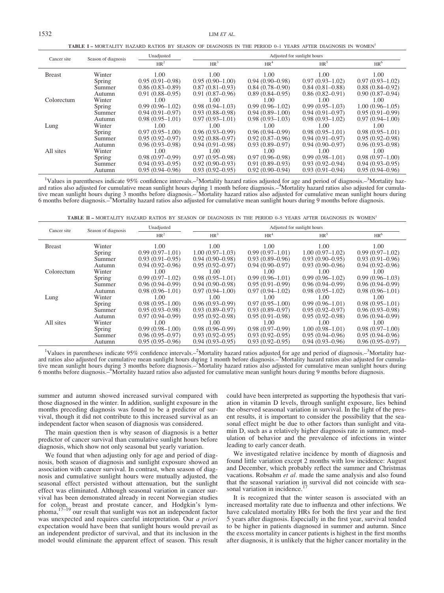TABLE I – MORTALITY HAZARD RATIOS BY SEASON OF DIAGNOSIS IN THE PERIOD 0–1 YEARS AFTER DIAGNOSIS IN WOMEN1

| Cancer site   | Season of diagnosis | Unadjusted          | Adjusted for sunlight hours |                     |                     |                     |  |
|---------------|---------------------|---------------------|-----------------------------|---------------------|---------------------|---------------------|--|
|               |                     | HR <sup>2</sup>     | HR <sup>3</sup>             | HR <sup>4</sup>     | $HR^5$              | HR <sup>6</sup>     |  |
| <b>Breast</b> | Winter              | 1.00                | 1.00                        | 1.00                | 1.00                | 1.00                |  |
|               | Spring              | $0.95(0.91 - 0.98)$ | $0.95(0.90-1.00)$           | $0.94(0.90 - 0.98)$ | $0.97(0.93 - 1.02)$ | $0.97(0.93 - 1.02)$ |  |
|               | Summer              | $0.86(0.83 - 0.89)$ | $0.87(0.81 - 0.93)$         | $0.84(0.78 - 0.90)$ | $0.84(0.81 - 0.88)$ | $0.88(0.84 - 0.92)$ |  |
|               | Autumn              | $0.91(0.88 - 0.95)$ | $0.91(0.87-0.96)$           | $0.89(0.84 - 0.95)$ | $0.86(0.82 - 0.91)$ | $0.90(0.87-0.94)$   |  |
| Colorectum    | Winter              | 1.00                | 1.00                        | 1.00                | 1.00                | 1.00                |  |
|               | Spring              | $0.99(0.96 - 1.02)$ | $0.98(0.94 - 1.03)$         | $0.99(0.96 - 1.02)$ | $0.99(0.95-1.03)$   | $1.00(0.96-1.05)$   |  |
|               | Summer              | $0.94(0.91 - 0.97)$ | $0.93(0.88 - 0.98)$         | $0.94(0.89-1.00)$   | $0.94(0.91 - 0.97)$ | $0.95(0.91-0.99)$   |  |
|               | Autumn              | $0.98(0.95-1.01)$   | $0.97(0.93 - 1.01)$         | $0.98(0.93 - 1.03)$ | $0.98(0.93 - 1.02)$ | $0.97(0.94 - 1.00)$ |  |
| Lung          | Winter              | 1.00                | 1.00                        | 1.00                | 1.00                | 1.00                |  |
|               | Spring              | $0.97(0.95-1.00)$   | $0.96(0.93-0.99)$           | $0.96(0.94 - 0.99)$ | $0.98(0.95-1.01)$   | $0.98(0.95-1.01)$   |  |
|               | Summer              | $0.95(0.92 - 0.97)$ | $0.92(0.88 - 0.97)$         | $0.92(0.87-0.96)$   | $0.94(0.91 - 0.97)$ | $0.95(0.92 - 0.98)$ |  |
|               | Autumn              | $0.96(0.93 - 0.98)$ | $0.94(0.91 - 0.98)$         | $0.93(0.89 - 0.97)$ | $0.94(0.90-0.97)$   | $0.96(0.93 - 0.98)$ |  |
| All sites     | Winter              | 1.00                | 1.00                        | 1.00                | 1.00                | 1.00                |  |
|               | Spring              | $0.98(0.97-0.99)$   | $0.97(0.95-0.98)$           | $0.97(0.96 - 0.98)$ | $0.99(0.98 - 1.01)$ | $0.98(0.97-1.00)$   |  |
|               | Summer              | $0.94(0.93 - 0.95)$ | $0.92(0.90-0.93)$           | $0.91(0.89 - 0.93)$ | $0.93(0.92 - 0.94)$ | $0.94(0.93 - 0.95)$ |  |
|               | Autumn              | $0.95(0.94 - 0.96)$ | $0.93(0.92 - 0.95)$         | $0.92(0.90-0.94)$   | $0.93(0.91 - 0.94)$ | $0.95(0.94 - 0.96)$ |  |

<sup>1</sup>Values in parentheses indicate 95% confidence intervals.<sup>2</sup>Mortality hazard ratios adjusted for age and period of diagnosis.<sup>2</sup>Mortality hazard ratios also adjusted for cumulative mean sunlight hours during 1 month before diagnosis.—Mortality hazard ratios also adjusted for cumulative mean sunlight hours during 3 months before diagnosis.<sup>-5</sup>Mortality hazard ratios also adjusted for cumulative mean sunlight hours during 6 months before diagnosis.–<sup>6</sup> Mortality hazard ratios also adjusted for cumulative mean sunlight hours during 9 months before diagnosis.

TABLE II – MORTALITY HAZARD RATIOS BY SEASON OF DIAGNOSIS IN THE PERIOD 0-5 YEARS AFTER DIAGNOSIS IN WOMEN<sup>1</sup>

| Cancer site   | Season of diagnosis | Unadjusted          | Adjusted for sunlight hours |                     |                     |                     |  |  |
|---------------|---------------------|---------------------|-----------------------------|---------------------|---------------------|---------------------|--|--|
|               |                     | HR <sup>2</sup>     | HR <sup>3</sup>             | HR <sup>4</sup>     | $HR^5$              | HR <sup>6</sup>     |  |  |
| <b>Breast</b> | Winter              | 1.00                | 1.00                        | 1.00                | 1.00                | 1.00                |  |  |
|               | Spring              | $0.99(0.97-1.01)$   | $1.00(0.97-1.03)$           | $0.99(0.97-1.01)$   | $1.00(0.97-1.02)$   | $0.99(0.97-1.02)$   |  |  |
|               | Summer              | $0.93(0.91 - 0.95)$ | $0.94(0.90-0.98)$           | $0.93(0.89 - 0.96)$ | $0.93(0.90-0.95)$   | $0.93(0.91 - 0.96)$ |  |  |
|               | Autumn              | $0.94(0.92 - 0.96)$ | $0.95(0.92 - 0.97)$         | $0.94(0.90 - 0.97)$ | $0.93(0.90-0.96)$   | $0.94(0.92 - 0.96)$ |  |  |
| Colorectum    | Winter              | 1.00                | 1.00                        | 1.00                | 1.00                | 1.00                |  |  |
|               | Spring              | $0.99(0.97-1.02)$   | $0.98(0.95-1.01)$           | $0.99(0.96-1.01)$   | $0.99(0.96-1.02)$   | $0.99(0.96 - 1.03)$ |  |  |
|               | Summer              | $0.96(0.94 - 0.99)$ | $0.94(0.90-0.98)$           | $0.95(0.91 - 0.99)$ | $0.96(0.94 - 0.99)$ | $0.96(0.94 - 0.99)$ |  |  |
|               | Autumn              | $0.98(0.96-1.01)$   | $0.97(0.94 - 1.00)$         | $0.97(0.94 - 1.02)$ | $0.98(0.95-1.02)$   | $0.98(0.96 - 1.01)$ |  |  |
| Lung          | Winter              | 1.00                | 1.00                        | 1.00                | 1.00                | 1.00                |  |  |
|               | Spring              | $0.98(0.95-1.00)$   | $0.96(0.93-0.99)$           | $0.97(0.95-1.00)$   | $0.99(0.96-1.01)$   | $0.98(0.95-1.01)$   |  |  |
|               | Summer              | $0.95(0.93 - 0.98)$ | $0.93(0.89 - 0.97)$         | $0.93(0.89 - 0.97)$ | $0.95(0.92 - 0.97)$ | $0.96(0.93 - 0.98)$ |  |  |
|               | Autumn              | $0.97(0.94 - 0.99)$ | $0.95(0.92 - 0.98)$         | $0.95(0.91 - 0.98)$ | $0.95(0.92 - 0.98)$ | $0.96(0.94 - 0.99)$ |  |  |
| All sites     | Winter              | 1.00                | 1.00                        | 1.00                | 1.00                | 1.00                |  |  |
|               | Spring              | $0.99(0.98 - 1.00)$ | $0.98(0.96-0.99)$           | $0.98(0.97-0.99)$   | $1.00(0.98 - 1.01)$ | $0.98(0.97-1.00)$   |  |  |
|               | Summer              | $0.96(0.95-0.97)$   | $0.93(0.92 - 0.95)$         | $0.93(0.92 - 0.95)$ | $0.95(0.94 - 0.96)$ | $0.95(0.94 - 0.96)$ |  |  |
|               | Autumn              | $0.95(0.95-0.96)$   | $0.94(0.93 - 0.95)$         | $0.93(0.92 - 0.95)$ | $0.94(0.93 - 0.96)$ | $0.96(0.95-0.97)$   |  |  |

<sup>1</sup>Values in parentheses indicate 95% confidence intervals.<sup>2</sup>Mortality hazard ratios adjusted for age and period of diagnosis.<sup>2</sup>Mortality hazard ratios also adjusted for cumulative mean sunlight hours during 1 month befo tive mean sunlight hours during 3 months before diagnosis.<sup>-5</sup>Mortality hazard ratios also adjusted for cumulative mean sunlight hours during 6 months before diagnosis.–<sup>6</sup> Mortality hazard ratios also adjusted for cumulative mean sunlight hours during 9 months before diagnosis.

summer and autumn showed increased survival compared with those diagnosed in the winter. In addition, sunlight exposure in the months preceding diagnosis was found to be a predictor of survival, though it did not contribute to this increased survival as an independent factor when season of diagnosis was considered.

The main question then is why season of diagnosis is a better predictor of cancer survival than cumulative sunlight hours before diagnosis, which show not only seasonal but yearly variation.

We found that when adjusting only for age and period of diagnosis, both season of diagnosis and sunlight exposure showed an association with cancer survival. In contrast, when season of diagnosis and cumulative sunlight hours were mutually adjusted, the seasonal effect persisted without attenuation, but the sunlight effect was eliminated. Although seasonal variation in cancer survival has been demonstrated already in recent Norwegian studies for colon, breast and prostate cancer, and Hodgkin's lym-<br>phoma,  $17-19$  our result that sunlight was not an independent factor was unexpected and requires careful interpretation. Our a priori expectation would have been that sunlight hours would prevail as an independent predictor of survival, and that its inclusion in the model would eliminate the apparent effect of season. This result could have been interpreted as supporting the hypothesis that variation in vitamin D levels, through sunlight exposure, lies behind the observed seasonal variation in survival. In the light of the present results, it is important to consider the possibility that the seasonal effect might be due to other factors than sunlight and vitamin D, such as a relatively higher diagnosis rate in summer, modulation of behavior and the prevalence of infections in winter leading to early cancer death.

We investigated relative incidence by month of diagnosis and found little variation except 2 months with low incidence: August and December, which probably reflect the summer and Christmas vacations. Robsahm et al. made the same analysis and also found that the seasonal variation in survival did not coincide with seasonal variation in incidence.<sup>17</sup>

It is recognized that the winter season is associated with an increased mortality rate due to influenza and other infections. We have calculated mortality HRs for both the first year and the first 5 years after diagnosis. Especially in the first year, survival tended to be higher in patients diagnosed in summer and autumn. Since the excess mortality in cancer patients is highest in the first months after diagnosis, it is unlikely that the higher cancer mortality in the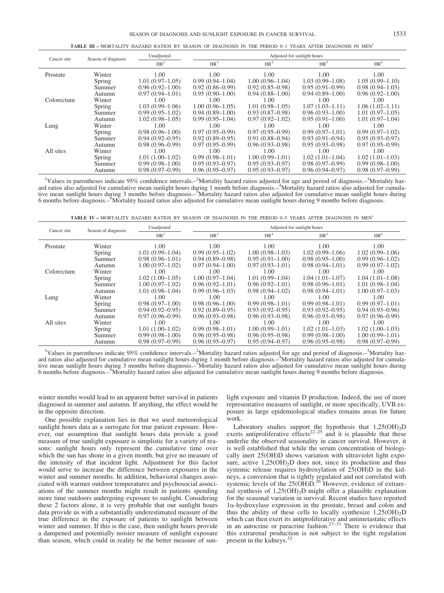|  | TABLE III – MORTALITY HAZARD RATIOS BY SEASON OF DIAGNOSIS IN THE PERIOD 0–1 YEARS AFTER DIAGNOSIS IN MEN <sup>1</sup> |  |  |  |  |  |  |  |
|--|------------------------------------------------------------------------------------------------------------------------|--|--|--|--|--|--|--|
|--|------------------------------------------------------------------------------------------------------------------------|--|--|--|--|--|--|--|

| Cancer site | Season of diagnosis | Unadjusted          | Adjusted for sunlight hours |                     |                     |                     |  |  |
|-------------|---------------------|---------------------|-----------------------------|---------------------|---------------------|---------------------|--|--|
|             |                     | HR <sup>2</sup>     | HR <sup>3</sup>             | HR <sup>4</sup>     | HR <sup>5</sup>     | HR <sup>6</sup>     |  |  |
| Prostate    | Winter              | 1.00                | 1.00                        | 1.00                | 1.00                | 1.00                |  |  |
|             | Spring              | $1.01(0.97-1.05)$   | $0.99(0.94 - 1.04)$         | $1.00(0.96 - 1.04)$ | $1.03(0.99-1.08)$   | $1.05(0.99 - 1.10)$ |  |  |
|             | Summer              | $0.96(0.92 - 1.00)$ | $0.92(0.86 - 0.99)$         | $0.92(0.85 - 0.98)$ | $0.95(0.91-0.99)$   | $0.98(0.94 - 1.03)$ |  |  |
|             | Autumn              | $0.97(0.94 - 1.01)$ | $0.95(0.90-1.00)$           | $0.94(0.88 - 1.00)$ | $0.94(0.89-1.00)$   | $0.96(0.92 - 1.00)$ |  |  |
| Colorectum  | Winter              | 1.00                | 1.00                        | 1.00                | 1.00                | 1.00                |  |  |
|             | Spring              | $1.03(0.99-1.06)$   | $1.00(0.96 - 1.05)$         | $1.01(0.98-1.05)$   | $1.07(1.03-1.11)$   | $1.06(1.02 - 1.11)$ |  |  |
|             | Summer              | $0.99(0.95-1.02)$   | $0.94(0.89-1.00)$           | $0.93(0.87-0.98)$   | $0.96(0.93 - 1.00)$ | $1.01(0.97-1.05)$   |  |  |
|             | Autumn              | $1.02(0.98 - 1.05)$ | $0.99(0.95-1.04)$           | $0.97(0.92 - 1.02)$ | $0.95(0.91-1.00)$   | $1.01(0.97-1.04)$   |  |  |
| Lung        | Winter              | 1.00                | 1.00                        | 1.00                | 1.00                | 1.00                |  |  |
|             | Spring              | $0.98(0.96-1.00)$   | $0.97(0.95-0.99)$           | $0.97(0.95-0.99)$   | $0.99(0.97-1.01)$   | $0.99(0.97-1.02)$   |  |  |
|             | Summer              | $0.94(0.92 - 0.95)$ | $0.92(0.89 - 0.95)$         | $0.91(0.88 - 0.94)$ | $0.93(0.91 - 0.94)$ | $0.95(0.93 - 0.97)$ |  |  |
|             | Autumn              | $0.98(0.96-0.99)$   | $0.97(0.95-0.99)$           | $0.96(0.93 - 0.98)$ | $0.95(0.93 - 0.98)$ | $0.97(0.95-0.99)$   |  |  |
| All sites   | Winter              | 1.00                | 1.00                        | 1.00                | 1.00                | 1.00                |  |  |
|             | Spring              | $1.01(1.00-1.02)$   | $0.99(0.98 - 1.01)$         | $1.00(0.99 - 1.01)$ | $1.02(1.01-1.04)$   | $1.02(1.01-1.03)$   |  |  |
|             | Summer              | $0.99(0.98-1.00)$   | $0.95(0.93 - 0.97)$         | $0.95(0.93 - 0.97)$ | $0.98(0.97-0.99)$   | $0.99(0.98 - 1.00)$ |  |  |
|             | Autumn              | $0.98(0.97-0.99)$   | $0.96(0.95 - 0.97)$         | $0.95(0.93 - 0.97)$ | $0.96(0.94 - 0.97)$ | $0.98(0.97-0.99)$   |  |  |

<sup>1</sup>Values in parentheses indicate 95% confidence intervals.<sup>2</sup>Mortality hazard ratios adjusted for age and period of diagnosis.<sup>2</sup>Mortality hazard ratios also adjusted for cumulative mean sunlight hours during 1 month before diagnosis.—Mortality hazard ratios also adjusted for cumulative mean sunlight hours during 3 months before diagnosis.<sup>-5</sup>Mortality hazard ratios also adjusted for cumulative mean sunlight hours during 6 months before diagnosis.–<sup>6</sup> Mortality hazard ratios also adjusted for cumulative mean sunlight hours during 9 months before diagnosis.

TABLE IV – MORTALITY HAZARD RATIOS BY SEASON OF DIAGNOSIS IN THE PERIOD 0–5 YEARS AFTER DIAGNOSIS IN MEN1

| Cancer site | Season of diagnosis | Unadjusted          | Adjusted for sunlight hours |                     |                     |                     |  |  |
|-------------|---------------------|---------------------|-----------------------------|---------------------|---------------------|---------------------|--|--|
|             |                     | HR <sup>2</sup>     | HR <sup>3</sup>             | HR <sup>4</sup>     | HR <sup>5</sup>     | HR <sup>6</sup>     |  |  |
| Prostate    | Winter              | 1.00                | 1.00                        | 1.00                | 1.00                | 1.00                |  |  |
|             | Spring              | $1.01(0.99-1.04)$   | $0.99(0.95-1.02)$           | $1.00(0.98 - 1.03)$ | $1.02(0.99-1.06)$   | $1.02(0.99-1.06)$   |  |  |
|             | Summer              | $0.98(0.96 - 1.01)$ | $0.94(0.89 - 0.98)$         | $0.95(0.91-1.00)$   | $0.98(0.95-1.00)$   | $0.99(0.96 - 1.02)$ |  |  |
|             | Autumn              | $1.00(0.97-1.02)$   | $0.97(0.94 - 1.00)$         | $0.97(0.93 - 1.01)$ | $0.98(0.94 - 1.01)$ | $0.99(0.97-1.02)$   |  |  |
| Colorectum  | Winter              | 1.00                | 1.00                        | 1.00                | 1.00                | 1.00                |  |  |
|             | Spring              | $1.02(1.00-1.05)$   | $1.00(0.97-1.04)$           | $1.01(0.99-1.04)$   | $1.04(1.01-1.07)$   | $1.04(1.01-1.08)$   |  |  |
|             | Summer              | $1.00(0.97-1.02)$   | $0.96(0.92 - 1.01)$         | $0.96(0.92 - 1.01)$ | $0.98(0.96 - 1.01)$ | $1.01(0.98 - 1.04)$ |  |  |
|             | Autumn              | $1.01(0.98-1.04)$   | $0.99(0.96-1.03)$           | $0.98(0.94 - 1.02)$ | $0.98(0.94 - 1.01)$ | $1.00(0.97-1.03)$   |  |  |
| Lung        | Winter              | 1.00                | 1.00                        | 1.00                | 1.00                | 1.00                |  |  |
|             | Spring              | $0.98(0.97-1.00)$   | $0.98(0.96 - 1.00)$         | $0.99(0.98 - 1.01)$ | $0.99(0.98 - 1.01)$ | $0.99(0.97-1.01)$   |  |  |
|             | Summer              | $0.94(0.92 - 0.95)$ | $0.92(0.89 - 0.95)$         | $0.93(0.92 - 0.95)$ | $0.93(0.92 - 0.95)$ | $0.94(0.93 - 0.96)$ |  |  |
|             | Autumn              | $0.97(0.96 - 0.99)$ | $0.96(0.93 - 0.98)$         | $0.96(0.93 - 0.98)$ | $0.96(0.93 - 0.98)$ | $0.97(0.96 - 0.99)$ |  |  |
| All sites   | Winter              | 00.1                | 1.00                        | 1.00                | 1.00                | 1.00                |  |  |
|             | Spring              | $1.01(1.00-1.02)$   | $0.99(0.98-1.01)$           | $1.00(0.99 - 1.01)$ | $1.02(1.01-1.03)$   | $1.02(1.00-1.03)$   |  |  |
|             | Summer              | $0.99(0.98 - 1.00)$ | $0.96(0.95-0.98)$           | $0.96(0.95-0.98)$   | $0.99(0.98 - 1.00)$ | $1.00(0.99 - 1.01)$ |  |  |
|             | Autumn              | $0.98(0.97-0.99)$   | $0.96(0.95-0.97)$           | $0.95(0.94 - 0.97)$ | $0.96(0.95-0.98)$   | $0.98(0.97-0.99)$   |  |  |

<sup>1</sup>Values in parentheses indicate 95% confidence intervals.<sup>2</sup>Mortality hazard ratios adjusted for age and period of diagnosis.<sup>2</sup>Mortality hazard ratios also adjusted for cumulative mean sunlight hours during 1 month before diagnosis.–<sup>4</sup> Mortality hazard ratios also adjusted for cumulative mean sunlight hours during 3 months before diagnosis.<sup>-5</sup>Mortality hazard ratios also adjusted for cumulative mean sunlight hours during 6 months before diagnosis.–<sup>6</sup> Mortality hazard ratios also adjusted for cumulative mean sunlight hours during 9 months before diagnosis.

winter months would lead to an apparent better survival in patients diagnosed in summer and autumn. If anything, the effect would be in the opposite direction.

One possible explanation lies in that we used meteorological sunlight hours data as a surrogate for true patient exposure. However, our assumption that sunlight hours data provide a good measure of true sunlight exposure is simplistic for a variety of reasons: sunlight hours only represent the cumulative time over which the sun has shone in a given month, but give no measure of the intensity of that incident light. Adjustment for this factor would serve to increase the difference between exposures in the winter and summer months. In addition, behavioral changes associated with warmer outdoor temperatures and psychosocial associations of the summer months might result in patients spending more time outdoors undergoing exposure to sunlight. Considering these 2 factors alone, it is very probable that our sunlight hours data provide us with a substantially underestimated measure of the true difference in the exposure of patients to sunlight between winter and summer. If this is the case, then sunlight hours provide a dampened and potentially noisier measure of sunlight exposure than season, which could in reality be the better measure of sunlight exposure and vitamin D production. Indeed, the use of more representative measures of sunlight, or more specifically, UVB exposure in large epidemiological studies remains areas for future work.

Laboratory studies support the hypothesis that  $1,25(OH)_2D$  exerts antiproliferative effects<sup>22–25</sup> and it is plausible that these underlie the observed seasonality in cancer survival. However, it is well established that while the serum concentration of biologically inert 25(OH)D shows variation with ultraviolet light exposure, active  $1,25(OH)<sub>2</sub>D$  does not, since its production and thus systemic release requires hydroxylation of 25(OH)D in the kidneys, a conversion that is tightly regulated and not correlated with systemic levels of the 25(OH)D.<sup>26</sup> However, evidence of extrarenal synthesis of 1,25(OH)2D might offer a plausible explanation for the seasonal variation in survival. Recent studies have reported  $1\alpha$ -hydroxylase expression in the prostate, breast and colon and thus the ability of these cells to locally synthesize  $1,25(OH)_{2}D$ which can then exert its antiproliferative and antimetastatic effects in an autocrine or paracrine fashion.<sup>27–31</sup> There is evidence that this extrarenal production is not subject to the tight regulation present in the kidneys.<sup>32</sup>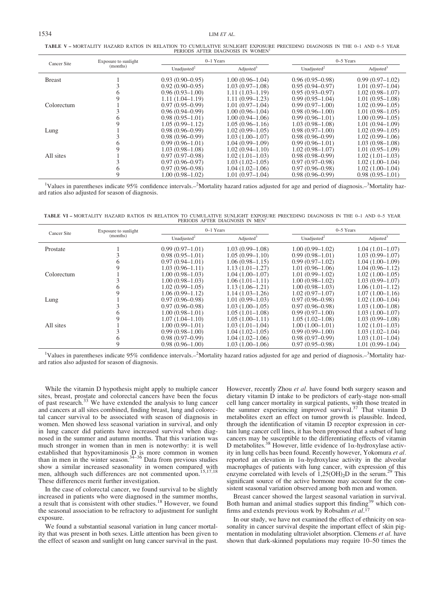| <b>TABLE</b><br>/-MORTALITY HAZARD RATIOS IN RELATION TO CUMULATIVE SUNLIGHT EXPOSURE PRECEDING DIAGNOSIS IN THE 0-1 AND 0-5 YEAR |  |  |  |  |  |  |  |
|-----------------------------------------------------------------------------------------------------------------------------------|--|--|--|--|--|--|--|
| PERIODS AFTER DIAGNOSIS IN WOMEN <sup>1</sup>                                                                                     |  |  |  |  |  |  |  |

| <b>Cancer Site</b> | Exposure to sunlight | $0-1$ Years         |                       | $0-5$ Years         |                       |  |
|--------------------|----------------------|---------------------|-----------------------|---------------------|-----------------------|--|
|                    | (months)             | Unadjusted $2$      | Adjusted <sup>3</sup> | Unadjusted $2$      | Adjusted <sup>3</sup> |  |
| <b>Breast</b>      |                      | $0.93(0.90-0.95)$   | $1.00(0.96 - 1.04)$   | $0.96(0.95-0.98)$   | $0.99(0.97-1.02)$     |  |
|                    |                      | $0.92(0.90-0.95)$   | $1.03(0.97-1.08)$     | $0.95(0.94 - 0.97)$ | $1.01(0.97-1.04)$     |  |
|                    |                      | $0.96(0.93 - 1.00)$ | 1.11 (1.03–1.19)      | $0.95(0.93 - 0.97)$ | $1.02(0.98 - 1.07)$   |  |
|                    |                      | $1.11(1.04 - 1.19)$ | 1.11 (0.99–1.23)      | $0.99(0.95-1.04)$   | $1.01(0.95-1.08)$     |  |
| Colorectum         |                      | $0.97(0.95-0.99)$   | $1.01(0.97-1.04)$     | $0.99(0.97-1.00)$   | $1.02(0.99 - 1.05)$   |  |
|                    |                      | $0.96(0.94 - 0.99)$ | $1.00(0.96 - 1.04)$   | $0.98(0.96 - 1.00)$ | $1.01(0.98 - 1.05)$   |  |
|                    |                      | $0.98(0.95-1.01)$   | $1.00(0.94 - 1.06)$   | $0.99(0.96 - 1.01)$ | $1.00(0.99 - 1.05)$   |  |
|                    |                      | $1.05(0.99 - 1.12)$ | $1.05(0.96 - 1.16)$   | $1.03(0.98 - 1.08)$ | $1.01(0.94 - 1.09)$   |  |
| Lung               |                      | $0.98(0.96 - 0.99)$ | $1.02(0.99 - 1.05)$   | $0.98(0.97-1.00)$   | $1.02(0.99 - 1.05)$   |  |
|                    |                      | $0.98(0.96 - 0.99)$ | $1.03(1.00-1.07)$     | $0.98(0.96 - 0.99)$ | $1.02(0.99-1.06)$     |  |
|                    |                      | $0.99(0.96 - 1.01)$ | $1.04(0.99 - 1.09)$   | $0.99(0.96 - 1.01)$ | $1.03(0.98 - 1.08)$   |  |
|                    |                      | $1.03(0.98 - 1.08)$ | $1.02(0.94 - 1.10)$   | $1.02(0.98 - 1.07)$ | $1.01(0.95-1.09)$     |  |
| All sites          |                      | $0.97(0.97-0.98)$   | $1.02(1.01-1.03)$     | $0.98(0.98 - 0.99)$ | $1.02(1.01-1.03)$     |  |
|                    |                      | $0.97(0.96 - 0.97)$ | $1.03(1.02 - 1.05)$   | $0.97(0.97-0.98)$   | $1.02(1.00-1.04)$     |  |
|                    |                      | $0.97(0.96 - 0.98)$ | $1.04(1.02 - 1.06)$   | $0.97(0.96 - 0.98)$ | $1.02(1.00-1.04)$     |  |
|                    |                      | $1.00(0.98 - 1.02)$ | $1.01(0.97-1.04)$     | $0.98(0.96 - 0.99)$ | $0.98(0.95-1.01)$     |  |

<sup>1</sup>Values in parentheses indicate 95% confidence intervals.<sup>2</sup>Mortality hazard ratios adjusted for age and period of diagnosis.<sup>3</sup>Mortality hazard ratios also adjusted for season of diagnosis.

TABLE VI – MORTALITY HAZARD RATIOS IN RELATION TO CUMULATIVE SUNLIGHT EXPOSURE PRECEDING DIAGNOSIS IN THE 0–1 AND 0–5 YEAR PERIODS AFTER DIAGNOSIS IN MEN

| Cancer Site | Exposure to sunlight | $0-1$ Years         |                       | $0-5$ Years         |                     |  |
|-------------|----------------------|---------------------|-----------------------|---------------------|---------------------|--|
|             | (months)             | Unadjusted $2$      | Adjusted <sup>3</sup> | Unadjusted $2$      | Adjusted $3$        |  |
| Prostate    |                      | $0.99(0.97-1.01)$   | $1.03(0.99 - 1.08)$   | $1.00(0.99 - 1.02)$ | $1.04(1.01-1.07)$   |  |
|             |                      | $0.98(0.95-1.01)$   | $1.05(0.99 - 1.10)$   | $0.99(0.98 - 1.01)$ | $1.03(0.99 - 1.07)$ |  |
|             | o                    | $0.97(0.94 - 1.01)$ | $1.06(0.98 - 1.15)$   | $0.99(0.97-1.02)$   | $1.04(1.00-1.09)$   |  |
|             |                      | $1.03(0.96 - 1.11)$ | $1.13(1.01 - 1.27)$   | $1.01(0.96 - 1.06)$ | $1.04(0.96 - 1.12)$ |  |
| Colorectum  |                      | $1.00(0.98 - 1.03)$ | $1.04(1.00-1.07)$     | $1.01(0.99 - 1.02)$ | $1.02(1.00-1.05)$   |  |
|             |                      | $1.00(0.98 - 1.03)$ | $1.06(1.01-1.11)$     | $1.00(0.98 - 1.02)$ | $1.03(0.99 - 1.07)$ |  |
|             |                      | $1.02(0.99 - 1.05)$ | $1.13(1.06-1.21)$     | $1.00(0.98 - 1.03)$ | $1.06(1.01-1.12)$   |  |
|             |                      | $1.06(0.99 - 1.12)$ | $1.14(1.03-1.26)$     | $1.02(0.97-1.07)$   | $1.07(1.00-1.16)$   |  |
| Lung        |                      | $0.97(0.96 - 0.98)$ | $1.01(0.99 - 1.03)$   | $0.97(0.96 - 0.98)$ | $1.02(1.00-1.04)$   |  |
|             |                      | $0.97(0.96 - 0.98)$ | $1.03(1.00-1.05)$     | $0.97(0.96 - 0.98)$ | $1.03(1.00-1.08)$   |  |
|             |                      | $1.00(0.98 - 1.01)$ | $1.05(1.01-1.08)$     | $0.99(0.97-1.00)$   | $1.03(1.00-1.07)$   |  |
|             |                      | $1.07(1.04 - 1.10)$ | $1.05(1.00-1.11)$     | $1.05(1.02 - 1.08)$ | $1.03(0.99 - 1.08)$ |  |
| All sites   |                      | $1.00(0.99 - 1.01)$ | $1.03(1.01-1.04)$     | $1.00(1.00-1.01)$   | $1.02(1.01-1.03)$   |  |
|             |                      | $0.99(0.98 - 1.00)$ | $1.04(1.02 - 1.05)$   | $0.99(0.99 - 1.00)$ | $1.03(1.02 - 1.04)$ |  |
|             |                      | $0.98(0.97-0.99)$   | $1.04(1.02 - 1.06)$   | $0.98(0.97-0.99)$   | $1.03(1.01-1.04)$   |  |
|             |                      | $0.98(0.96 - 1.00)$ | $1.03(1.00-1.06)$     | $0.97(0.95 - 0.98)$ | $1.01(0.99-1.04)$   |  |

<sup>1</sup>Values in parentheses indicate 95% confidence intervals.<sup>2</sup>Mortality hazard ratios adjusted for age and period of diagnosis.<sup>2</sup>Mortality hazard ratios also adjusted for season of diagnosis.

While the vitamin D hypothesis might apply to multiple cancer sites, breast, prostate and colorectal cancers have been the focus of past research.<sup>33</sup> We have extended the analysis to lung cancer and cancers at all sites combined, finding breast, lung and colorectal cancer survival to be associated with season of diagnosis in women. Men showed less seasonal variation in survival, and only in lung cancer did patients have increased survival when diagnosed in the summer and autumn months. That this variation was much stronger in women than in men is noteworthy: it is well established that hypovitaminosis D is more common in women than in men in the winter season.<sup>34–36</sup> Data from previous studies show a similar increased seasonality in women compared with men, although such differences are not commented upon.<sup>15,17,18</sup> These differences merit further investigation.

In the case of colorectal cancer, we found survival to be slightly increased in patients who were diagnosed in the summer months, a result that is consistent with other studies.<sup>18</sup> However, we found the seasonal association to be refractory to adjustment for sunlight exposure.

We found a substantial seasonal variation in lung cancer mortality that was present in both sexes. Little attention has been given to the effect of season and sunlight on lung cancer survival in the past. However, recently Zhou et al. have found both surgery season and dietary vitamin D intake to be predictors of early-stage non-small cell lung cancer mortality in surgical patients, with those treated in the summer experiencing improved survival.<sup>37</sup> That vitamin D metabolites exert an effect on tumor growth is plausible. Indeed, through the identification of vitamin D receptor expression in certain lung cancer cell lines, it has been proposed that a subset of lung cancers may be susceptible to the differentiating effects of vitamin D metabolites.<sup>38</sup> However, little evidence of  $1\alpha$ -hydroxylase activity in lung cells has been found. Recently however, Yokomura et al. reported an elevation in  $1\alpha$ -hydroxylase activity in the alveolar macrophages of patients with lung cancer, with expression of this enzyme correlated with levels of  $1,25(OH)_2D$  in the serum.<sup>29</sup> This significant source of the active hormone may account for the consistent seasonal variation observed among both men and women.

Breast cancer showed the largest seasonal variation in survival. Both human and animal studies support this finding<sup>39</sup> which confirms and extends previous work by Robsahm et al.<sup>17</sup>

In our study, we have not examined the effect of ethnicity on seasonality in cancer survival despite the important effect of skin pigmentation in modulating ultraviolet absorption. Clemens et al. have shown that dark-skinned populations may require 10–50 times the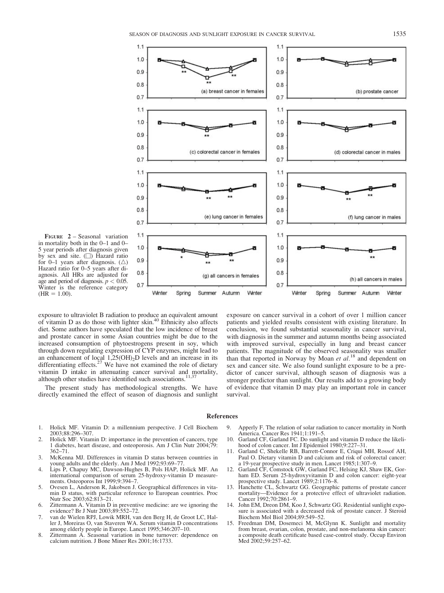

FIGURE 2 – Seasonal variation in mortality both in the 0–1 and 0– 5 year periods after diagnosis given by sex and site.  $\Box$  Hazard ratio for 0–1 years after diagnosis.  $(\triangle)$ Hazard ratio for 0–5 years after diagnosis. All HRs are adjusted for age and period of diagnosis.  $p < 0.05$ . Winter is the reference category  $(HR = 1.00).$ 

exposure to ultraviolet B radiation to produce an equivalent amount of vitamin D as do those with lighter skin.40 Ethnicity also affects diet. Some authors have speculated that the low incidence of breast and prostate cancer in some Asian countries might be due to the increased consumption of phytoestrogens present in soy, which through down regulating expression of CYP enzymes, might lead to an enhancement of local  $1,25(OH)_{2}D$  levels and an increase in its differentiating effects.<sup>27</sup> We have not examined the role of dietary vitamin D intake in attenuating cancer survival and mortality, although other studies have identified such associations.<sup>11,37</sup>

The present study has methodological strengths. We have directly examined the effect of season of diagnosis and sunlight exposure on cancer survival in a cohort of over 1 million cancer patients and yielded results consistent with existing literature. In conclusion, we found substantial seasonality in cancer survival, with diagnosis in the summer and autumn months being associated with improved survival, especially in lung and breast cancer patients. The magnitude of the observed seasonality was smaller than that reported in Norway by Moan et al.<sup>18</sup> and dependent on sex and cancer site. We also found sunlight exposure to be a predictor of cancer survival, although season of diagnosis was a stronger predictor than sunlight. Our results add to a growing body of evidence that vitamin D may play an important role in cancer survival.

### References

- 1. Holick MF. Vitamin D: a millennium perspective. J Cell Biochem 2003;88:296–307.
- 2. Holick MF. Vitamin D: importance in the prevention of cancers, type 1 diabetes, heart disease, and osteoporosis. Am J Clin Nutr 2004;79: 362–71.
- 3. McKenna MJ. Differences in vitamin D status between countries in young adults and the elderly. Am J Med 1992;93:69–77. 4. Lips P, Chapuy MC, Dawson-Hughes B, Pols HAP, Holick MF. An
- international comparison of serum 25-hydroxy-vitamin D measurements. Osteoporos Int 1999;9:394–7.
- 5. Ovesen L, Anderson R, Jakobsen J. Geographical differences in vitamin D status, with particular reference to European countries. Proc Nutr Soc 2003;62:813–21.
- 6. Zittermann A. Vitamin D in preventive medicine: are we ignoring the evidence? Br J Nutr 2003;89:552–72.
- 7. van de Wielen RPJ, Lowik MRH, van den Berg H, de Groot LC, Haller J, Moreiras O, van Staveren WA. Serum vitamin D concentrations among elderly people in Europe. Lancet 1995;346:207–10.
- 8. Zittermann A. Seasonal variation in bone turnover: dependence on calcium nutrition. J Bone Miner Res 2001;16:1733.
- 9. Apperly F. The relation of solar radiation to cancer mortality in North America. Cancer Res 1941;1:191–5.
- 10. Garland CF, Garland FC. Do sunlight and vitamin D reduce the likelihood of colon cancer. Int J Epidemiol 1980;9:227-31.
- 11. Garland C, Shekelle RB, Barrett-Connor E, Criqui MH, Rossof AH, Paul O. Dietary vitamin D and calcium and risk of colorectal cancer: a 19-year prospective study in men. Lancet 1985;1:307–9. 12. Garland CF, Comstock GW, Garland FC, Helsing KJ, Shaw EK, Gor-
- ham ED. Serum 25-hydroxyvitamin D and colon cancer: eight-year prospective study. Lancet 1989;2:1176–8.
- 13. Hanchette CL, Schwartz GG. Geographic patterns of prostate cancer mortality—Evidence for a protective effect of ultraviolet radiation. Cancer 1992;70:2861–9.
- 14. John EM, Dreon DM, Koo J, Schwartz GG. Residential sunlight exposure is associated with a decreased risk of prostate cancer. J Steroid Biochem Mol Biol 2004;89:549–52.
- 15. Freedman DM, Dosemeci M, McGlynn K. Sunlight and mortality from breast, ovarian, colon, prostate, and non-melanoma skin cancer: a composite death certificate based case-control study. Occup Environ Med 2002;59:257–62.